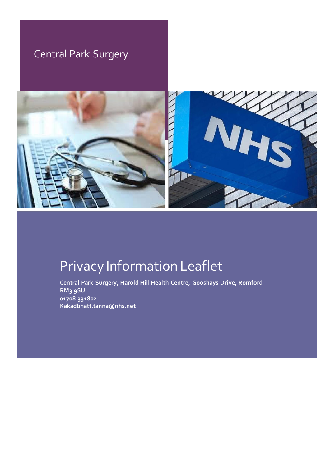# Central Park Surgery



# Privacy Information Leaflet

**Central Park Surgery, Harold Hill Health Centre, Gooshays Drive, Romford RM3 9SU 01708 331802 Kakadbhatt.tanna@nhs.net**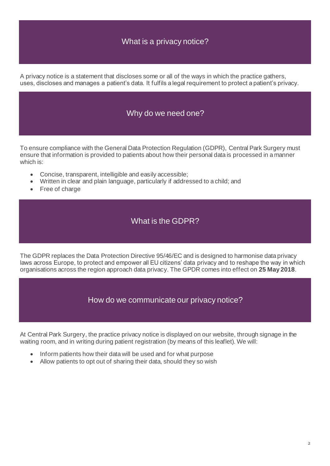#### What is a privacy notice?

A privacy notice is a statement that discloses some or all of the ways in which the practice gathers, uses, discloses and manages a patient's data. It fulfils a legal requirement to protect a patient's privacy.

#### Why do we need one?

To ensure compliance with the General Data Protection Regulation (GDPR), Central Park Surgery must ensure that information is provided to patients about how their personal data is processed in a manner which is:

- Concise, transparent, intelligible and easily accessible;
- Written in clear and plain language, particularly if addressed to a child; and
- Free of charge

#### What is the GDPR?

The GDPR replaces the Data Protection Directive 95/46/EC and is designed to harmonise data privacy laws across Europe, to protect and empower all EU citizens' data privacy and to reshape the way in which organisations across the region approach data privacy. The GPDR comes into effect on **25 May 2018**.

How do we communicate our privacy notice?

At Central Park Surgery, the practice privacy notice is displayed on our website, through signage in the waiting room, and in writing during patient registration (by means of this leaflet). We will:

- Inform patients how their data will be used and for what purpose
- Allow patients to opt out of sharing their data, should they so wish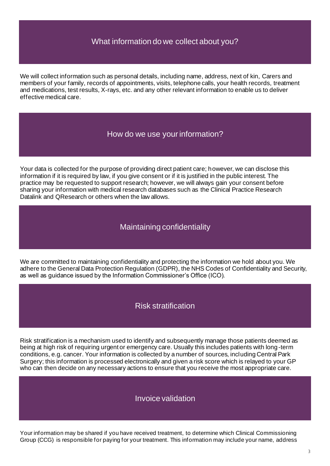#### What information do we collect about you?

We will collect information such as personal details, including name, address, next of kin, Carers and members of your family, records of appointments, visits, telephone calls, your health records, treatment and medications, test results, X-rays, etc. and any other relevant information to enable us to deliver effective medical care.

#### How do we use your information?

Your data is collected for the purpose of providing direct patient care; however, we can disclose this information if it is required by law, if you give consent or if it is justified in the public interest. The practice may be requested to support research; however, we will always gain your consent before sharing your information with medical research databases such as the Clinical Practice Research Datalink and QResearch or others when the law allows.

#### Maintaining confidentiality

We are committed to maintaining confidentiality and protecting the information we hold about you. We adhere to the General Data Protection Regulation (GDPR), the NHS Codes of Confidentiality and Security, as well as guidance issued by the Information Commissioner's Office (ICO).

#### Risk stratification

Risk stratification is a mechanism used to identify and subsequently manage those patients deemed as being at high risk of requiring urgent or emergency care. Usually this includes patients with long -term conditions, e.g. cancer. Your information is collected by a number of sources, including Central Park Surgery; this information is processed electronically and given a risk score which is relayed to your GP who can then decide on any necessary actions to ensure that you receive the most appropriate care.

#### Invoice validation

Your information may be shared if you have received treatment, to determine which Clinical Commissioning Group (CCG) is responsible for paying for your treatment. This information may include your name, address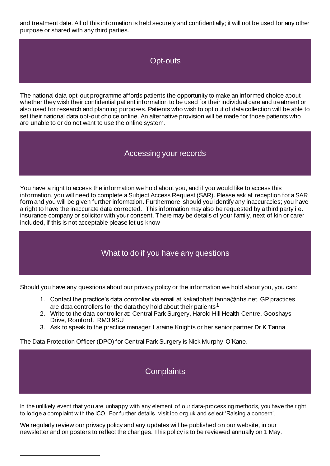and treatment date. All of this information is held securely and confidentially; it will not be used for any other purpose or shared with any third parties.

#### Opt-outs

The national data opt-out programme affords patients the opportunity to make an informed choice about whether they wish their confidential patient information to be used for their individual care and treatment or also used for research and planning purposes. Patients who wish to opt out of data collection wil l be able to set their national data opt-out choice online. An alternative provision will be made for those patients who are unable to or do not want to use the online system.

#### Accessing your records

You have a right to access the information we hold about you, and if you would like to access this information, you will need to complete a Subject Access Request (SAR). Please ask at reception for a SAR form and you will be given further information. Furthermore, should you identify any inaccuracies; you have a right to have the inaccurate data corrected. This information may also be requested by a third party i.e. insurance company or solicitor with your consent. There may be details of your family, next of kin or carer included, if this is not acceptable please let us know

#### What to do if you have any questions

Should you have any questions about our privacy policy or the information we hold about you, you can:

- 1. Contact the practice's data controller via email at kakadbhatt.tanna@nhs.net. GP practices are data controllers for the data they hold about their patients<sup>1</sup>
- 2. Write to the data controller at: Central Park Surgery, Harold Hill Health Centre, Gooshays Drive, Romford. RM3 9SU
- 3. Ask to speak to the practice manager Laraine Knights or her senior partner Dr K Tanna

The Data Protection Officer (DPO) for Central Park Surgery is Nick Murphy-O'Kane.

#### **Complaints**

In the unlikely event that you are unhappy with any element of our data-processing methods, you have the right to lodge a complaint with the ICO. For further details, visit ico.org.uk and select 'Raising a concern'.

We regularly review our privacy policy and any updates will be published on our website, in our newsletter and on posters to reflect the changes. This policy is to be reviewed annually on 1 May.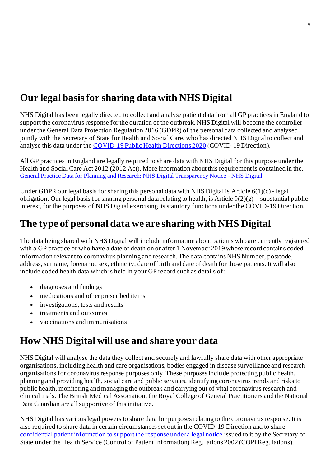# **Our legal basis for sharing data with NHS Digital**

NHS Digital has been legally directed to collect and analyse patient data from all GP practices in England to support the coronavirus response for the duration of the outbreak. NHS Digital will become the controller under the General Data Protection Regulation 2016 (GDPR) of the personal data collected and analysed jointly with the Secretary of State for Health and Social Care, who has directed NHS Digital to collect and analyse this data under th[e COVID-19 Public Health Directions 2020](https://digital.nhs.uk/about-nhs-digital/corporate-information-and-documents/directions-and-data-provision-notices/secretary-of-state-directions/covid-19-public-health-directions-2020) (COVID-19 Direction).

All GP practices in England are legally required to share data with NHS Digital for this purpose under the Health and Social Care Act 2012 (2012 Act). More information about this requirement is contained in the. [General Practice Data for Planning and Research: NHS Digital Transparency Notice -](https://digital.nhs.uk/data-and-information/data-collections-and-data-sets/data-collections/general-practice-data-for-planning-and-research/transparency-notice) NHS Digital

Under GDPR our legal basis for sharing this personal data with NHS Digital is Article 6(1)(c) - legal obligation. Our legal basis for sharing personal data relating to health, is Article  $9(2)(g)$  – substantial public interest, for the purposes of NHS Digital exercising its statutory functions under the COVID-19 Direction.

### **The type of personal data we are sharing with NHS Digital**

The data being shared with NHS Digital will include information about patients who are currently registered with a GP practice or who have a date of death on or after 1 November 2019 whose record contains coded information relevant to coronavirus planning and research. The data contains NHS Number, postcode, address, surname, forename, sex, ethnicity, date of birth and date of death for those patients. It will also include coded health data which is held in your GP record such as details of:

- diagnoses and findings
- medications and other prescribed items
- investigations, tests and results
- treatments and outcomes
- vaccinations and immunisations

### **How NHS Digital will use and share your data**

NHS Digital will analyse the data they collect and securely and lawfully share data with other appropriate organisations, including health and care organisations, bodies engaged in disease surveillance and research organisations for coronavirus response purposes only. These purposes include protecting public health, planning and providing health, social care and public services, identifying coronavirus trends and risks to public health, monitoring and managing the outbreak and carrying out of vital coronavirus research and clinical trials. The British Medical Association, the Royal College of General Practitioners and the National Data Guardian are all supportive of this initiative.

NHS Digital has various legal powers to share data for purposes relating to the coronavirus response. It is also required to share data in certain circumstances set out in the COVID-19 Direction and to share [confidential patient information to support the response under a legal notice](https://digital.nhs.uk/coronavirus/coronavirus-covid-19-response-information-governance-hub/control-of-patient-information-copi-notice) issued to it by the Secretary of State under the Health Service (Control of Patient Information) Regulations 2002 (COPI Regulations).